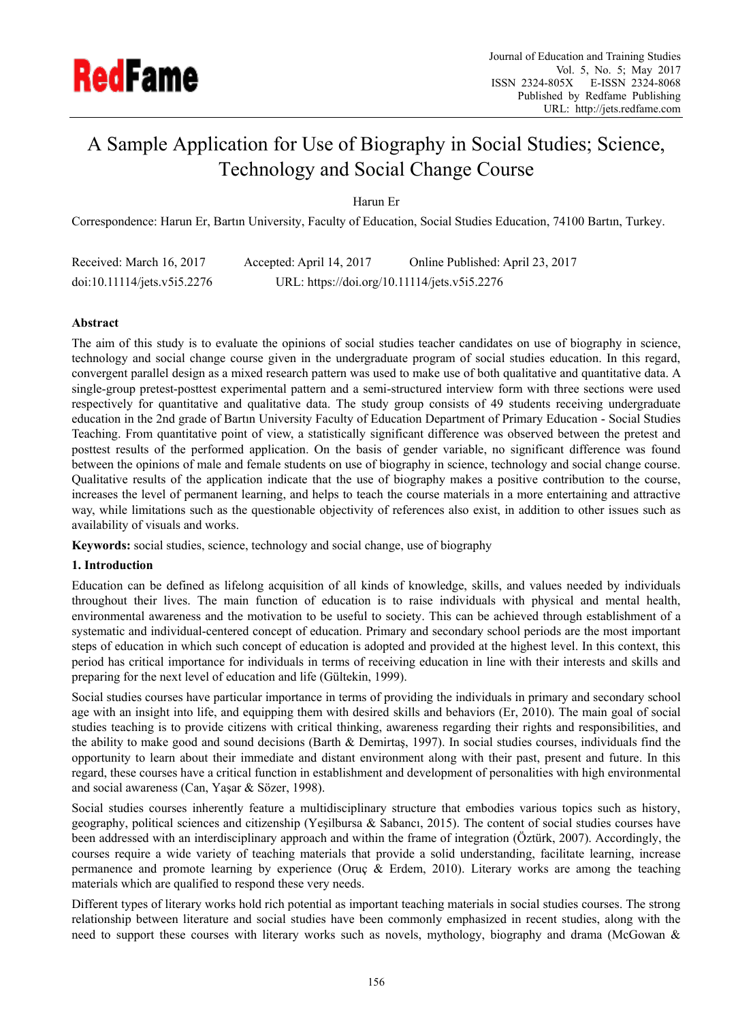

# A Sample Application for Use of Biography in Social Studies; Science, Technology and Social Change Course

Harun Er

Correspondence: Harun Er, Bartın University, Faculty of Education, Social Studies Education, 74100 Bartın, Turkey.

| Received: March 16, 2017    | Accepted: April 14, 2017                     | Online Published: April 23, 2017 |
|-----------------------------|----------------------------------------------|----------------------------------|
| doi:10.11114/jets.v5i5.2276 | URL: https://doi.org/10.11114/jets.v5i5.2276 |                                  |

## **Abstract**

The aim of this study is to evaluate the opinions of social studies teacher candidates on use of biography in science, technology and social change course given in the undergraduate program of social studies education. In this regard, convergent parallel design as a mixed research pattern was used to make use of both qualitative and quantitative data. A single-group pretest-posttest experimental pattern and a semi-structured interview form with three sections were used respectively for quantitative and qualitative data. The study group consists of 49 students receiving undergraduate education in the 2nd grade of Bartın University Faculty of Education Department of Primary Education - Social Studies Teaching. From quantitative point of view, a statistically significant difference was observed between the pretest and posttest results of the performed application. On the basis of gender variable, no significant difference was found between the opinions of male and female students on use of biography in science, technology and social change course. Qualitative results of the application indicate that the use of biography makes a positive contribution to the course, increases the level of permanent learning, and helps to teach the course materials in a more entertaining and attractive way, while limitations such as the questionable objectivity of references also exist, in addition to other issues such as availability of visuals and works.

**Keywords:** social studies, science, technology and social change, use of biography

## **1. Introduction**

Education can be defined as lifelong acquisition of all kinds of knowledge, skills, and values needed by individuals throughout their lives. The main function of education is to raise individuals with physical and mental health, environmental awareness and the motivation to be useful to society. This can be achieved through establishment of a systematic and individual-centered concept of education. Primary and secondary school periods are the most important steps of education in which such concept of education is adopted and provided at the highest level. In this context, this period has critical importance for individuals in terms of receiving education in line with their interests and skills and preparing for the next level of education and life (Gültekin, 1999).

Social studies courses have particular importance in terms of providing the individuals in primary and secondary school age with an insight into life, and equipping them with desired skills and behaviors (Er, 2010). The main goal of social studies teaching is to provide citizens with critical thinking, awareness regarding their rights and responsibilities, and the ability to make good and sound decisions (Barth & Demirtaş, 1997). In social studies courses, individuals find the opportunity to learn about their immediate and distant environment along with their past, present and future. In this regard, these courses have a critical function in establishment and development of personalities with high environmental and social awareness (Can, Yaşar & Sözer, 1998).

Social studies courses inherently feature a multidisciplinary structure that embodies various topics such as history, geography, political sciences and citizenship (Yeşilbursa & Sabancı, 2015). The content of social studies courses have been addressed with an interdisciplinary approach and within the frame of integration (Öztürk, 2007). Accordingly, the courses require a wide variety of teaching materials that provide a solid understanding, facilitate learning, increase permanence and promote learning by experience (Oruç & Erdem, 2010). Literary works are among the teaching materials which are qualified to respond these very needs.

Different types of literary works hold rich potential as important teaching materials in social studies courses. The strong relationship between literature and social studies have been commonly emphasized in recent studies, along with the need to support these courses with literary works such as novels, mythology, biography and drama (McGowan &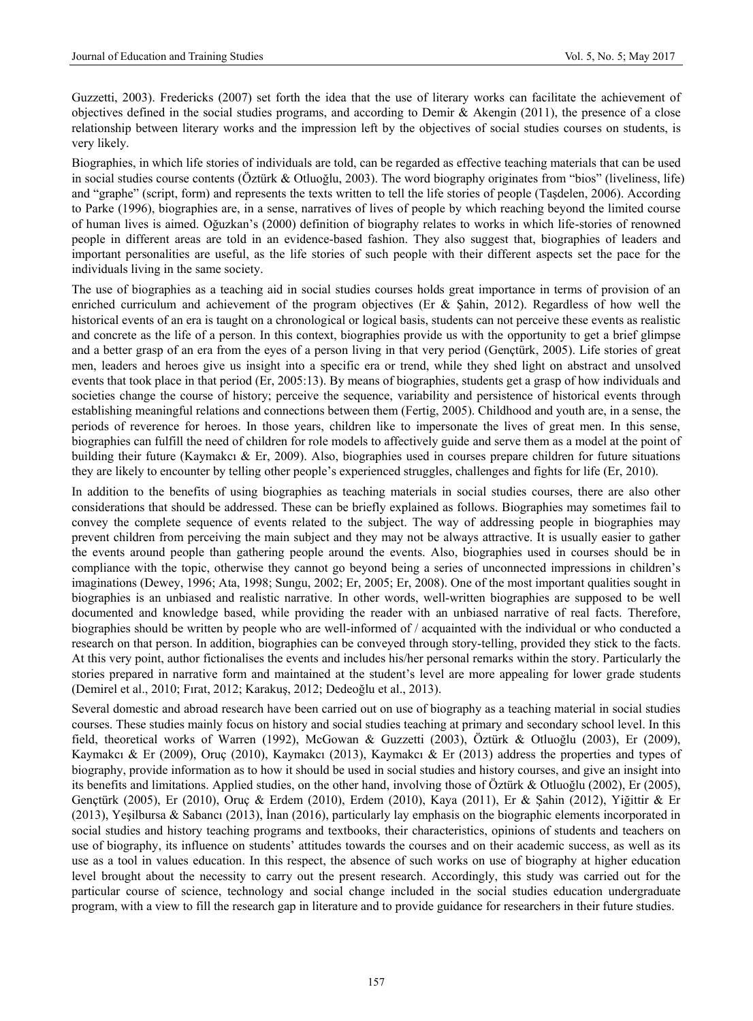Guzzetti, 2003). Fredericks (2007) set forth the idea that the use of literary works can facilitate the achievement of objectives defined in the social studies programs, and according to Demir & Akengin (2011), the presence of a close relationship between literary works and the impression left by the objectives of social studies courses on students, is very likely.

Biographies, in which life stories of individuals are told, can be regarded as effective teaching materials that can be used in social studies course contents (Öztürk & Otluoğlu, 2003). The word biography originates from "bios" (liveliness, life) and "graphe" (script, form) and represents the texts written to tell the life stories of people (Taşdelen, 2006). According to Parke (1996), biographies are, in a sense, narratives of lives of people by which reaching beyond the limited course of human lives is aimed. Oğuzkan's (2000) definition of biography relates to works in which life-stories of renowned people in different areas are told in an evidence-based fashion. They also suggest that, biographies of leaders and important personalities are useful, as the life stories of such people with their different aspects set the pace for the individuals living in the same society.

The use of biographies as a teaching aid in social studies courses holds great importance in terms of provision of an enriched curriculum and achievement of the program objectives (Er & Şahin, 2012). Regardless of how well the historical events of an era is taught on a chronological or logical basis, students can not perceive these events as realistic and concrete as the life of a person. In this context, biographies provide us with the opportunity to get a brief glimpse and a better grasp of an era from the eyes of a person living in that very period (Gençtürk, 2005). Life stories of great men, leaders and heroes give us insight into a specific era or trend, while they shed light on abstract and unsolved events that took place in that period (Er, 2005:13). By means of biographies, students get a grasp of how individuals and societies change the course of history; perceive the sequence, variability and persistence of historical events through establishing meaningful relations and connections between them (Fertig, 2005). Childhood and youth are, in a sense, the periods of reverence for heroes. In those years, children like to impersonate the lives of great men. In this sense, biographies can fulfill the need of children for role models to affectively guide and serve them as a model at the point of building their future (Kaymakcı & Er, 2009). Also, biographies used in courses prepare children for future situations they are likely to encounter by telling other people's experienced struggles, challenges and fights for life (Er, 2010).

In addition to the benefits of using biographies as teaching materials in social studies courses, there are also other considerations that should be addressed. These can be briefly explained as follows. Biographies may sometimes fail to convey the complete sequence of events related to the subject. The way of addressing people in biographies may prevent children from perceiving the main subject and they may not be always attractive. It is usually easier to gather the events around people than gathering people around the events. Also, biographies used in courses should be in compliance with the topic, otherwise they cannot go beyond being a series of unconnected impressions in children's imaginations (Dewey, 1996; Ata, 1998; Sungu, 2002; Er, 2005; Er, 2008). One of the most important qualities sought in biographies is an unbiased and realistic narrative. In other words, well-written biographies are supposed to be well documented and knowledge based, while providing the reader with an unbiased narrative of real facts. Therefore, biographies should be written by people who are well-informed of / acquainted with the individual or who conducted a research on that person. In addition, biographies can be conveyed through story-telling, provided they stick to the facts. At this very point, author fictionalises the events and includes his/her personal remarks within the story. Particularly the stories prepared in narrative form and maintained at the student's level are more appealing for lower grade students (Demirel et al., 2010; Fırat, 2012; Karakuş, 2012; Dedeoğlu et al., 2013).

Several domestic and abroad research have been carried out on use of biography as a teaching material in social studies courses. These studies mainly focus on history and social studies teaching at primary and secondary school level. In this field, theoretical works of Warren (1992), McGowan & Guzzetti (2003), Öztürk & Otluoğlu (2003), Er (2009), Kaymakcı & Er (2009), Oruç (2010), Kaymakcı (2013), Kaymakcı & Er (2013) address the properties and types of biography, provide information as to how it should be used in social studies and history courses, and give an insight into its benefits and limitations. Applied studies, on the other hand, involving those of Öztürk & Otluoğlu (2002), Er (2005), Gençtürk (2005), Er (2010), Oruç & Erdem (2010), Erdem (2010), Kaya (2011), Er & Şahin (2012), Yiğittir & Er (2013), Yeşilbursa & Sabancı (2013), İnan (2016), particularly lay emphasis on the biographic elements incorporated in social studies and history teaching programs and textbooks, their characteristics, opinions of students and teachers on use of biography, its influence on students' attitudes towards the courses and on their academic success, as well as its use as a tool in values education. In this respect, the absence of such works on use of biography at higher education level brought about the necessity to carry out the present research. Accordingly, this study was carried out for the particular course of science, technology and social change included in the social studies education undergraduate program, with a view to fill the research gap in literature and to provide guidance for researchers in their future studies.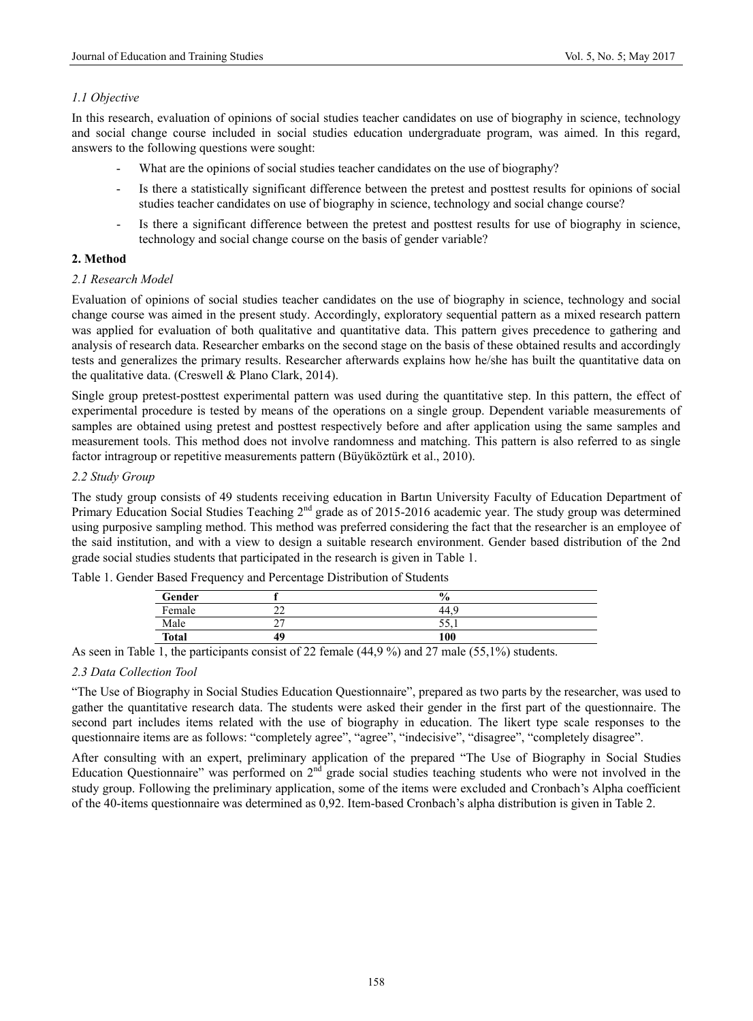## *1.1 Objective*

In this research, evaluation of opinions of social studies teacher candidates on use of biography in science, technology and social change course included in social studies education undergraduate program, was aimed. In this regard, answers to the following questions were sought:

- What are the opinions of social studies teacher candidates on the use of biography?
- Is there a statistically significant difference between the pretest and posttest results for opinions of social studies teacher candidates on use of biography in science, technology and social change course?
- Is there a significant difference between the pretest and posttest results for use of biography in science, technology and social change course on the basis of gender variable?

## **2. Method**

#### *2.1 Research Model*

Evaluation of opinions of social studies teacher candidates on the use of biography in science, technology and social change course was aimed in the present study. Accordingly, exploratory sequential pattern as a mixed research pattern was applied for evaluation of both qualitative and quantitative data. This pattern gives precedence to gathering and analysis of research data. Researcher embarks on the second stage on the basis of these obtained results and accordingly tests and generalizes the primary results. Researcher afterwards explains how he/she has built the quantitative data on the qualitative data. (Creswell & Plano Clark, 2014).

Single group pretest-posttest experimental pattern was used during the quantitative step. In this pattern, the effect of experimental procedure is tested by means of the operations on a single group. Dependent variable measurements of samples are obtained using pretest and posttest respectively before and after application using the same samples and measurement tools. This method does not involve randomness and matching. This pattern is also referred to as single factor intragroup or repetitive measurements pattern (Büyüköztürk et al., 2010).

## *2.2 Study Group*

The study group consists of 49 students receiving education in Bartın University Faculty of Education Department of Primary Education Social Studies Teaching 2<sup>nd</sup> grade as of 2015-2016 academic year. The study group was determined using purposive sampling method. This method was preferred considering the fact that the researcher is an employee of the said institution, and with a view to design a suitable research environment. Gender based distribution of the 2nd grade social studies students that participated in the research is given in Table 1.

|              | ╯<br>$\check{ }$ |               |
|--------------|------------------|---------------|
| Gender       |                  | $\frac{0}{0}$ |
| Female       | $\sim$<br>∸∸     |               |
| Male         | $\sim$<br>-      | - 22.1        |
| <b>Total</b> | 49               | 100           |

Table 1. Gender Based Frequency and Percentage Distribution of Students

As seen in Table 1, the participants consist of 22 female (44,9 %) and 27 male (55,1%) students.

## *2.3 Data Collection Tool*

"The Use of Biography in Social Studies Education Questionnaire", prepared as two parts by the researcher, was used to gather the quantitative research data. The students were asked their gender in the first part of the questionnaire. The second part includes items related with the use of biography in education. The likert type scale responses to the questionnaire items are as follows: "completely agree", "agree", "indecisive", "disagree", "completely disagree".

After consulting with an expert, preliminary application of the prepared "The Use of Biography in Social Studies Education Questionnaire" was performed on  $2<sup>nd</sup>$  grade social studies teaching students who were not involved in the study group. Following the preliminary application, some of the items were excluded and Cronbach's Alpha coefficient of the 40-items questionnaire was determined as 0,92. Item-based Cronbach's alpha distribution is given in Table 2.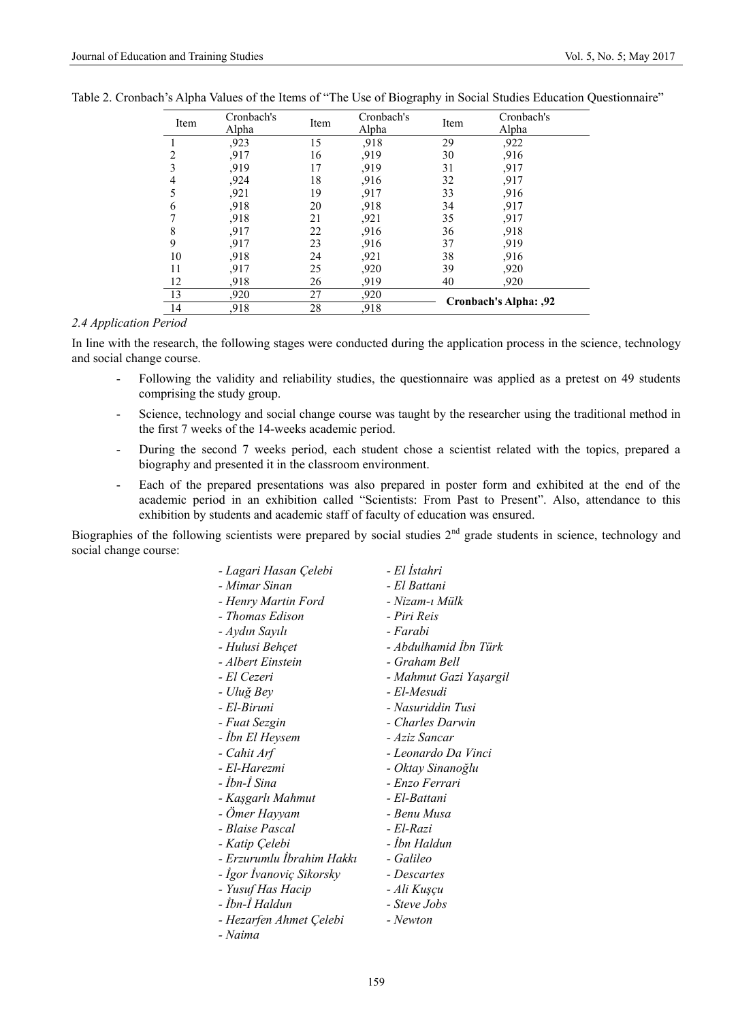| Item           | Cronbach's<br>Alpha | Item | Cronbach's<br>Alpha | Item | Cronbach's<br>Alpha   |
|----------------|---------------------|------|---------------------|------|-----------------------|
|                | .923                | 15   | ,918                | 29   | .922                  |
| 2              | .917                | 16   | .919                | 30   | .916                  |
| 3              | .919                | 17   | .919                | 31   | .917                  |
| $\overline{4}$ | ,924                | 18   | .916                | 32   | ,917                  |
| 5              | ,921                | 19   | .917                | 33   | .916                  |
| 6              | .918                | 20   | .918                | 34   | .917                  |
|                | .918                | 21   | ,921                | 35   | ,917                  |
| 8              | .917                | 22   | .916                | 36   | .918                  |
| 9              | .917                | 23   | ,916                | 37   | .919                  |
| 10             | .918                | 24   | .921                | 38   | .916                  |
| 11             | .917                | 25   | .920                | 39   | .920                  |
| 12             | .918                | 26   | 919.                | 40   | .920                  |
| 13             | .920                | 27   | ,920                |      | Cronbach's Alpha: ,92 |
| 14             | ,918                | 28   | ,918                |      |                       |

#### *2.4 Application Period*

In line with the research, the following stages were conducted during the application process in the science, technology and social change course.

- Following the validity and reliability studies, the questionnaire was applied as a pretest on 49 students comprising the study group.
- Science, technology and social change course was taught by the researcher using the traditional method in the first 7 weeks of the 14-weeks academic period.
- During the second 7 weeks period, each student chose a scientist related with the topics, prepared a biography and presented it in the classroom environment.
- Each of the prepared presentations was also prepared in poster form and exhibited at the end of the academic period in an exhibition called "Scientists: From Past to Present". Also, attendance to this exhibition by students and academic staff of faculty of education was ensured.

Biographies of the following scientists were prepared by social studies  $2<sup>nd</sup>$  grade students in science, technology and social change course:

| - Lagari Hasan Çelebi     | - El Istahri           |
|---------------------------|------------------------|
| - Mimar Sinan             | - El Battani           |
| - Henry Martin Ford       | - Nizam-ı Mülk         |
| - Thomas Edison           | - Piri Reis            |
| - Aydın Sayılı            | - Farabi               |
| - Hulusi Behçet           | - Abdulhamid İbn Türk  |
| - Albert Einstein         | - Graham Bell          |
| - El Cezeri               | - Mahmut Gazi Yaşargil |
| - Uluğ Bey                | - El-Mesudi            |
| - El-Biruni               | - Nasuriddin Tusi      |
| - Fuat Sezgin             | - Charles Darwin       |
| - İbn El Heysem           | - Aziz Sancar          |
| - Cahit Arf               | - Leonardo Da Vinci    |
| - El-Harezmi              | - Oktay Sinanoğlu      |
| - İbn-İ Sina              | - Enzo Ferrari         |
| - Kaşgarlı Mahmut         | - El-Battani           |
| - Omer Hayyam             | - Benu Musa            |
| - Blaise Pascal           | - El-Razi              |
| - Katip Çelebi            | - İbn Haldun           |
| - Erzurumlu İbrahim Hakkı | - Galileo              |
| - İgor İvanoviç Sikorsky  | - Descartes            |
| - Yusuf Has Hacip         | - Ali Kuşçu            |
| - İbn-İ Haldun            | - Steve Jobs           |
| - Hezarfen Ahmet Çelebi   | - Newton               |
| - Naima                   |                        |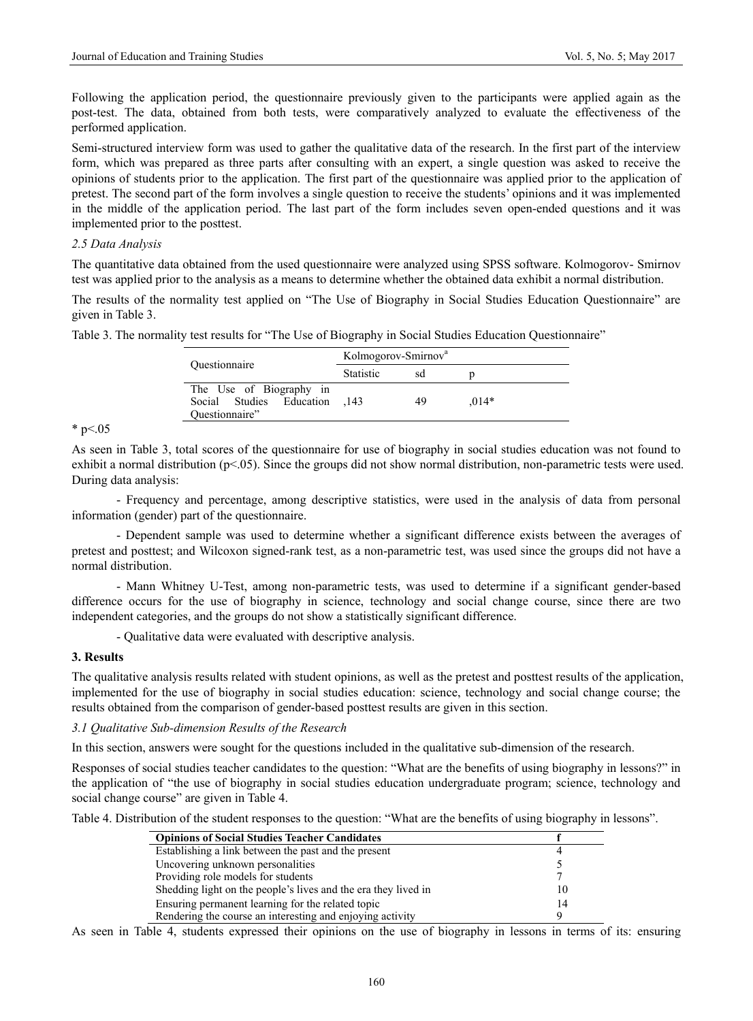Following the application period, the questionnaire previously given to the participants were applied again as the post-test. The data, obtained from both tests, were comparatively analyzed to evaluate the effectiveness of the performed application.

Semi-structured interview form was used to gather the qualitative data of the research. In the first part of the interview form, which was prepared as three parts after consulting with an expert, a single question was asked to receive the opinions of students prior to the application. The first part of the questionnaire was applied prior to the application of pretest. The second part of the form involves a single question to receive the students' opinions and it was implemented in the middle of the application period. The last part of the form includes seven open-ended questions and it was implemented prior to the posttest.

### *2.5 Data Analysis*

The quantitative data obtained from the used questionnaire were analyzed using SPSS software. Kolmogorov- Smirnov test was applied prior to the analysis as a means to determine whether the obtained data exhibit a normal distribution.

The results of the normality test applied on "The Use of Biography in Social Studies Education Questionnaire" are given in Table 3.

Table 3. The normality test results for "The Use of Biography in Social Studies Education Questionnaire"

|                                                                       | Kolmogorov-Smirnov <sup>a</sup> |    |         |
|-----------------------------------------------------------------------|---------------------------------|----|---------|
| Ouestionnaire                                                         | <b>Statistic</b>                | sd |         |
| The Use of Biography in<br>Social Studies Education<br>Ouestionnaire" | $-143$                          | 49 | $.014*$ |

#### \* p $< 0.05$

As seen in Table 3, total scores of the questionnaire for use of biography in social studies education was not found to exhibit a normal distribution ( $p<05$ ). Since the groups did not show normal distribution, non-parametric tests were used. During data analysis:

- Frequency and percentage, among descriptive statistics, were used in the analysis of data from personal information (gender) part of the questionnaire.

- Dependent sample was used to determine whether a significant difference exists between the averages of pretest and posttest; and Wilcoxon signed-rank test, as a non-parametric test, was used since the groups did not have a normal distribution.

- Mann Whitney U-Test, among non-parametric tests, was used to determine if a significant gender-based difference occurs for the use of biography in science, technology and social change course, since there are two independent categories, and the groups do not show a statistically significant difference.

- Qualitative data were evaluated with descriptive analysis.

#### **3. Results**

The qualitative analysis results related with student opinions, as well as the pretest and posttest results of the application, implemented for the use of biography in social studies education: science, technology and social change course; the results obtained from the comparison of gender-based posttest results are given in this section.

#### *3.1 Qualitative Sub-dimension Results of the Research*

In this section, answers were sought for the questions included in the qualitative sub-dimension of the research.

Responses of social studies teacher candidates to the question: "What are the benefits of using biography in lessons?" in the application of "the use of biography in social studies education undergraduate program; science, technology and social change course" are given in Table 4.

Table 4. Distribution of the student responses to the question: "What are the benefits of using biography in lessons".

| <b>Opinions of Social Studies Teacher Candidates</b>           |    |
|----------------------------------------------------------------|----|
| Establishing a link between the past and the present           |    |
| Uncovering unknown personalities                               |    |
| Providing role models for students                             |    |
| Shedding light on the people's lives and the era they lived in | 10 |
| Ensuring permanent learning for the related topic              | 14 |
| Rendering the course an interesting and enjoying activity      |    |

As seen in Table 4, students expressed their opinions on the use of biography in lessons in terms of its: ensuring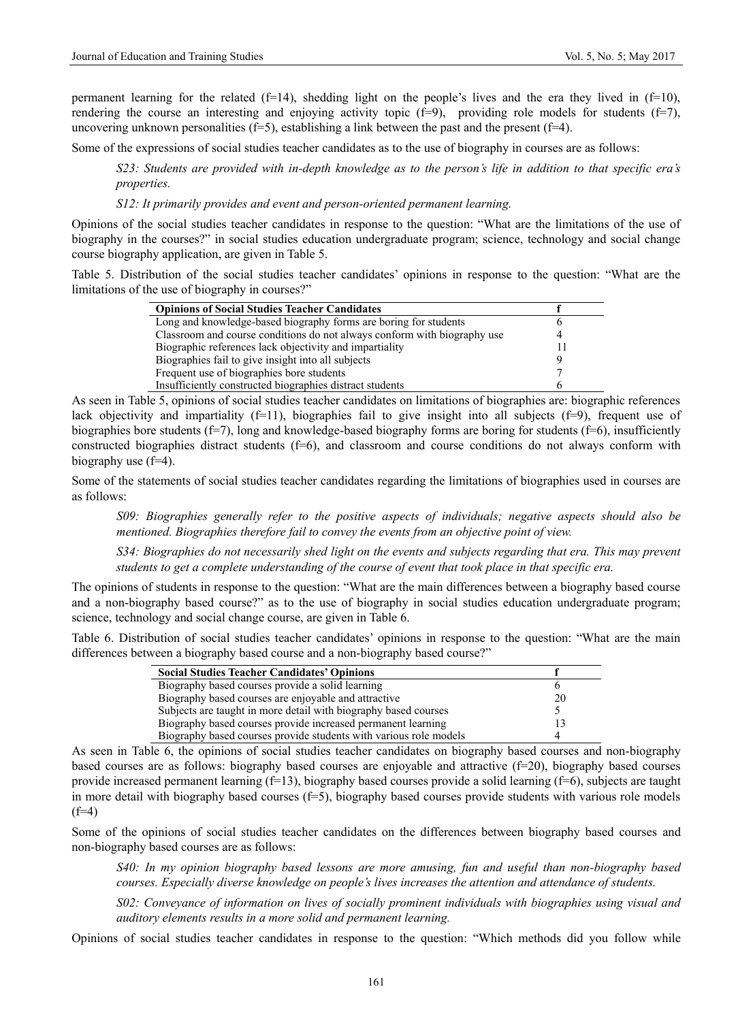permanent learning for the related ( $f=14$ ), shedding light on the people's lives and the era they lived in  $(f=10)$ , rendering the course an interesting and enjoying activity topic  $(f=9)$ , providing role models for students  $(f=7)$ , uncovering unknown personalities ( $f=5$ ), establishing a link between the past and the present ( $f=4$ ).

Some of the expressions of social studies teacher candidates as to the use of biography in courses are as follows:

*S23: Students are provided with in-depth knowledge as to the person's life in addition to that specific era's properties.* 

*S12: It primarily provides and event and person-oriented permanent learning.* 

Opinions of the social studies teacher candidates in response to the question: "What are the limitations of the use of biography in the courses?" in social studies education undergraduate program; science, technology and social change course biography application, are given in Table 5.

Table 5. Distribution of the social studies teacher candidates' opinions in response to the question: "What are the limitations of the use of biography in courses?"

| <b>Opinions of Social Studies Teacher Candidates</b>                     |  |
|--------------------------------------------------------------------------|--|
| Long and knowledge-based biography forms are boring for students         |  |
| Classroom and course conditions do not always conform with biography use |  |
| Biographic references lack objectivity and impartiality                  |  |
| Biographies fail to give insight into all subjects                       |  |
| Frequent use of biographies bore students                                |  |
| Insufficiently constructed biographies distract students                 |  |

As seen in Table 5, opinions of social studies teacher candidates on limitations of biographies are: biographic references lack objectivity and impartiality  $(f=11)$ , biographies fail to give insight into all subjects  $(f=9)$ , frequent use of biographies bore students ( $f=7$ ), long and knowledge-based biography forms are boring for students ( $f=6$ ), insufficiently constructed biographies distract students  $(f=6)$ , and classroom and course conditions do not always conform with biography use (f=4).

Some of the statements of social studies teacher candidates regarding the limitations of biographies used in courses are as follows:

*S09: Biographies generally refer to the positive aspects of individuals; negative aspects should also be mentioned. Biographies therefore fail to convey the events from an objective point of view.* 

*S34: Biographies do not necessarily shed light on the events and subjects regarding that era. This may prevent students to get a complete understanding of the course of event that took place in that specific era.* 

The opinions of students in response to the question: "What are the main differences between a biography based course and a non-biography based course?" as to the use of biography in social studies education undergraduate program; science, technology and social change course, are given in Table 6.

Table 6. Distribution of social studies teacher candidates' opinions in response to the question: "What are the main differences between a biography based course and a non-biography based course?"

| <b>Social Studies Teacher Candidates' Opinions</b>                |    |
|-------------------------------------------------------------------|----|
| Biography based courses provide a solid learning                  |    |
| Biography based courses are enjoyable and attractive              | 20 |
| Subjects are taught in more detail with biography based courses   |    |
| Biography based courses provide increased permanent learning      |    |
| Biography based courses provide students with various role models |    |

As seen in Table 6, the opinions of social studies teacher candidates on biography based courses and non-biography based courses are as follows: biography based courses are enjoyable and attractive  $(f=20)$ , biography based courses provide increased permanent learning  $(f=13)$ , biography based courses provide a solid learning  $(f=6)$ , subjects are taught in more detail with biography based courses  $(f=5)$ , biography based courses provide students with various role models  $(f=4)$ 

Some of the opinions of social studies teacher candidates on the differences between biography based courses and non-biography based courses are as follows:

*S40: In my opinion biography based lessons are more amusing, fun and useful than non-biography based courses. Especially diverse knowledge on people's lives increases the attention and attendance of students.* 

*S02: Conveyance of information on lives of socially prominent individuals with biographies using visual and auditory elements results in a more solid and permanent learning.* 

Opinions of social studies teacher candidates in response to the question: "Which methods did you follow while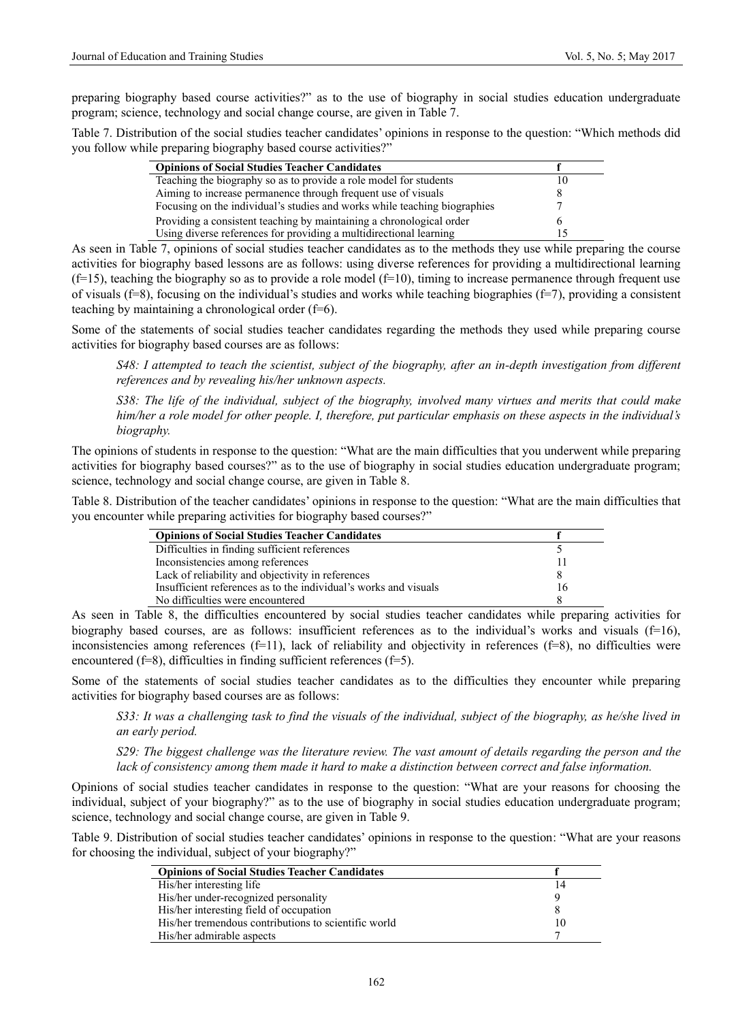preparing biography based course activities?" as to the use of biography in social studies education undergraduate program; science, technology and social change course, are given in Table 7.

Table 7. Distribution of the social studies teacher candidates' opinions in response to the question: "Which methods did you follow while preparing biography based course activities?"

| <b>Opinions of Social Studies Teacher Candidates</b>                      |  |
|---------------------------------------------------------------------------|--|
| Teaching the biography so as to provide a role model for students         |  |
| Aiming to increase permanence through frequent use of visuals             |  |
| Focusing on the individual's studies and works while teaching biographies |  |
| Providing a consistent teaching by maintaining a chronological order      |  |
| Using diverse references for providing a multidirectional learning        |  |

As seen in Table 7, opinions of social studies teacher candidates as to the methods they use while preparing the course activities for biography based lessons are as follows: using diverse references for providing a multidirectional learning  $(f=15)$ , teaching the biography so as to provide a role model  $(f=10)$ , timing to increase permanence through frequent use of visuals ( $f=8$ ), focusing on the individual's studies and works while teaching biographies ( $f=7$ ), providing a consistent teaching by maintaining a chronological order (f=6).

Some of the statements of social studies teacher candidates regarding the methods they used while preparing course activities for biography based courses are as follows:

*S48: I attempted to teach the scientist, subject of the biography, after an in-depth investigation from different references and by revealing his/her unknown aspects.* 

*S38: The life of the individual, subject of the biography, involved many virtues and merits that could make him/her a role model for other people. I, therefore, put particular emphasis on these aspects in the individual's biography.* 

The opinions of students in response to the question: "What are the main difficulties that you underwent while preparing activities for biography based courses?" as to the use of biography in social studies education undergraduate program; science, technology and social change course, are given in Table 8.

Table 8. Distribution of the teacher candidates' opinions in response to the question: "What are the main difficulties that you encounter while preparing activities for biography based courses?"

| <b>Opinions of Social Studies Teacher Candidates</b>             |    |
|------------------------------------------------------------------|----|
| Difficulties in finding sufficient references                    |    |
| Inconsistencies among references                                 |    |
| Lack of reliability and objectivity in references                |    |
| Insufficient references as to the individual's works and visuals | 16 |
| No difficulties were encountered                                 |    |

As seen in Table 8, the difficulties encountered by social studies teacher candidates while preparing activities for biography based courses, are as follows: insufficient references as to the individual's works and visuals  $(f=16)$ , inconsistencies among references  $(f=11)$ , lack of reliability and objectivity in references  $(f=8)$ , no difficulties were encountered (f=8), difficulties in finding sufficient references (f=5).

Some of the statements of social studies teacher candidates as to the difficulties they encounter while preparing activities for biography based courses are as follows:

*S33: It was a challenging task to find the visuals of the individual, subject of the biography, as he/she lived in an early period.* 

*S29: The biggest challenge was the literature review. The vast amount of details regarding the person and the lack of consistency among them made it hard to make a distinction between correct and false information.* 

Opinions of social studies teacher candidates in response to the question: "What are your reasons for choosing the individual, subject of your biography?" as to the use of biography in social studies education undergraduate program; science, technology and social change course, are given in Table 9.

Table 9. Distribution of social studies teacher candidates' opinions in response to the question: "What are your reasons for choosing the individual, subject of your biography?"

| <b>Opinions of Social Studies Teacher Candidates</b> |    |
|------------------------------------------------------|----|
| His/her interesting life                             | 14 |
| His/her under-recognized personality                 |    |
| His/her interesting field of occupation              |    |
| His/her tremendous contributions to scientific world | 10 |
| His/her admirable aspects                            |    |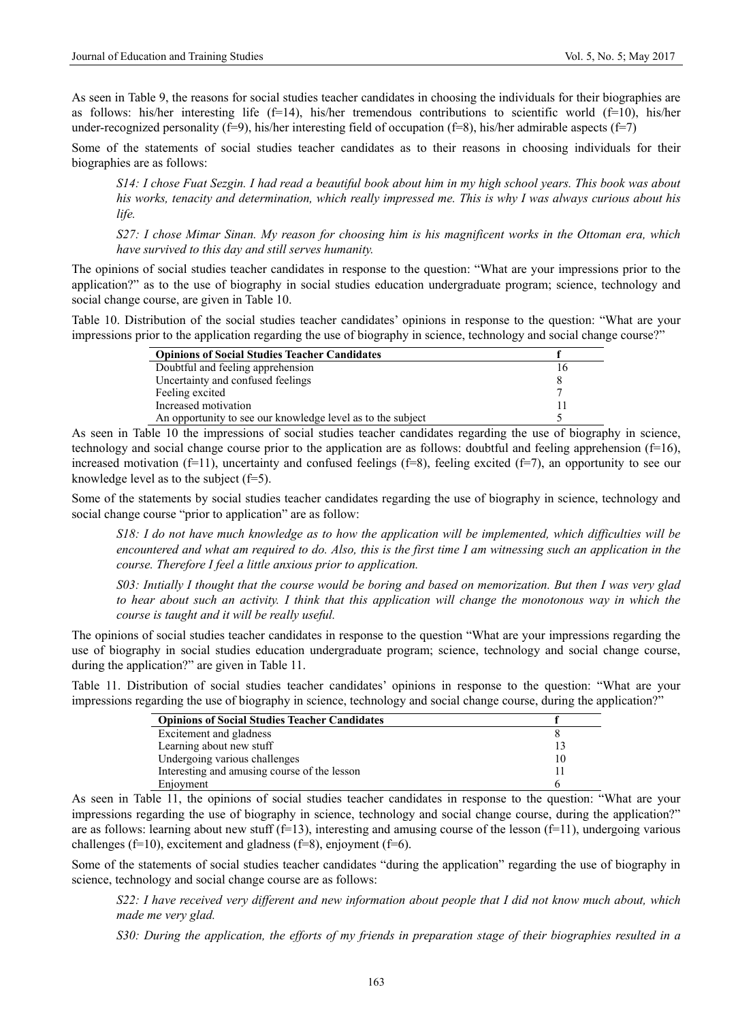As seen in Table 9, the reasons for social studies teacher candidates in choosing the individuals for their biographies are as follows: his/her interesting life (f=14), his/her tremendous contributions to scientific world (f=10), his/her under-recognized personality (f=9), his/her interesting field of occupation (f=8), his/her admirable aspects (f=7)

Some of the statements of social studies teacher candidates as to their reasons in choosing individuals for their biographies are as follows:

*S14: I chose Fuat Sezgin. I had read a beautiful book about him in my high school years. This book was about his works, tenacity and determination, which really impressed me. This is why I was always curious about his life.* 

*S27: I chose Mimar Sinan. My reason for choosing him is his magnificent works in the Ottoman era, which have survived to this day and still serves humanity.* 

The opinions of social studies teacher candidates in response to the question: "What are your impressions prior to the application?" as to the use of biography in social studies education undergraduate program; science, technology and social change course, are given in Table 10.

Table 10. Distribution of the social studies teacher candidates' opinions in response to the question: "What are your impressions prior to the application regarding the use of biography in science, technology and social change course?"

| <b>Opinions of Social Studies Teacher Candidates</b>        |  |
|-------------------------------------------------------------|--|
| Doubtful and feeling apprehension                           |  |
| Uncertainty and confused feelings                           |  |
| Feeling excited                                             |  |
| Increased motivation                                        |  |
| An opportunity to see our knowledge level as to the subject |  |

As seen in Table 10 the impressions of social studies teacher candidates regarding the use of biography in science, technology and social change course prior to the application are as follows: doubtful and feeling apprehension  $(f=16)$ , increased motivation (f=11), uncertainty and confused feelings (f=8), feeling excited (f=7), an opportunity to see our knowledge level as to the subject  $(f=5)$ .

Some of the statements by social studies teacher candidates regarding the use of biography in science, technology and social change course "prior to application" are as follow:

*S18: I do not have much knowledge as to how the application will be implemented, which difficulties will be encountered and what am required to do. Also, this is the first time I am witnessing such an application in the course. Therefore I feel a little anxious prior to application.* 

*S03: Inıtially I thought that the course would be boring and based on memorization. But then I was very glad to hear about such an activity. I think that this application will change the monotonous way in which the course is taught and it will be really useful.* 

The opinions of social studies teacher candidates in response to the question "What are your impressions regarding the use of biography in social studies education undergraduate program; science, technology and social change course, during the application?" are given in Table 11.

Table 11. Distribution of social studies teacher candidates' opinions in response to the question: "What are your impressions regarding the use of biography in science, technology and social change course, during the application?"

| <b>Opinions of Social Studies Teacher Candidates</b> |    |
|------------------------------------------------------|----|
| Excitement and gladness                              |    |
| Learning about new stuff                             |    |
| Undergoing various challenges                        | 10 |
| Interesting and amusing course of the lesson         |    |
| Enjoyment                                            |    |

As seen in Table 11, the opinions of social studies teacher candidates in response to the question: "What are your impressions regarding the use of biography in science, technology and social change course, during the application?" are as follows: learning about new stuff  $(f=13)$ , interesting and amusing course of the lesson  $(f=11)$ , undergoing various challenges (f=10), excitement and gladness (f=8), enjoyment (f=6).

Some of the statements of social studies teacher candidates "during the application" regarding the use of biography in science, technology and social change course are as follows:

*S22: I have received very different and new information about people that I did not know much about, which made me very glad.* 

*S30: During the application, the efforts of my friends in preparation stage of their biographies resulted in a*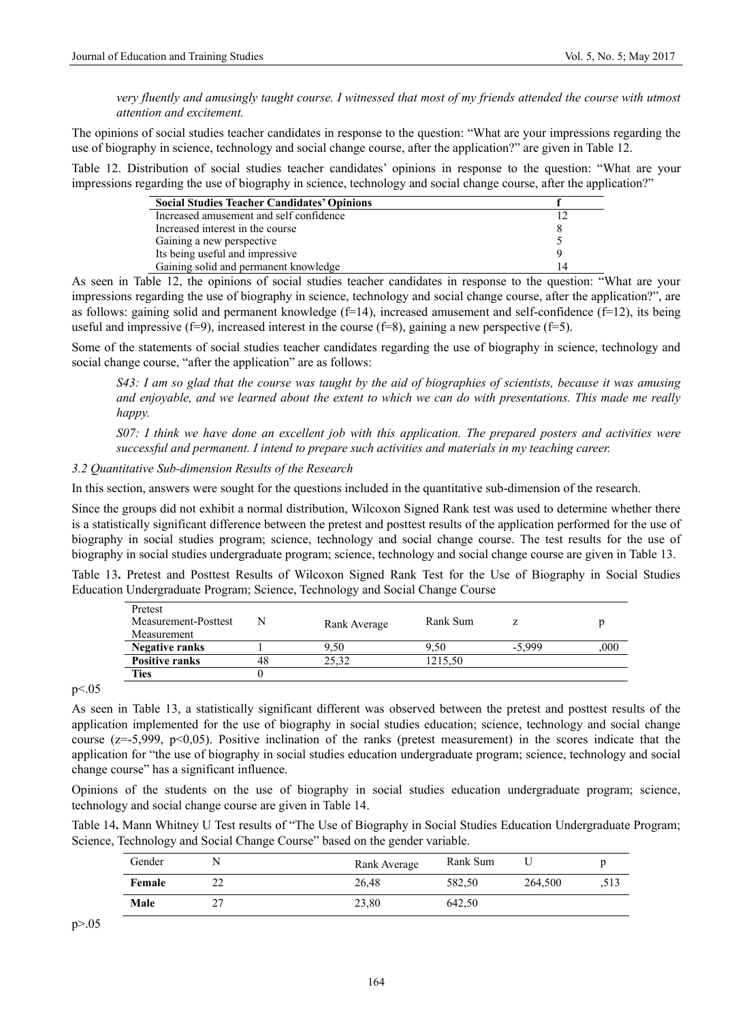*very fluently and amusingly taught course. I witnessed that most of my friends attended the course with utmost attention and excitement.* 

The opinions of social studies teacher candidates in response to the question: "What are your impressions regarding the use of biography in science, technology and social change course, after the application?" are given in Table 12.

Table 12. Distribution of social studies teacher candidates' opinions in response to the question: "What are your impressions regarding the use of biography in science, technology and social change course, after the application?"

| <b>Social Studies Teacher Candidates' Opinions</b> |    |
|----------------------------------------------------|----|
| Increased amusement and self confidence            |    |
| Increased interest in the course                   |    |
| Gaining a new perspective                          |    |
| Its being useful and impressive                    |    |
| Gaining solid and permanent knowledge              | 14 |

As seen in Table 12, the opinions of social studies teacher candidates in response to the question: "What are your impressions regarding the use of biography in science, technology and social change course, after the application?", are as follows: gaining solid and permanent knowledge  $(f=14)$ , increased amusement and self-confidence  $(f=12)$ , its being useful and impressive  $(f=9)$ , increased interest in the course  $(f=8)$ , gaining a new perspective  $(f=5)$ .

Some of the statements of social studies teacher candidates regarding the use of biography in science, technology and social change course, "after the application" are as follows:

*S43: I am so glad that the course was taught by the aid of biographies of scientists, because it was amusing and enjoyable, and we learned about the extent to which we can do with presentations. This made me really happy.* 

*S07: I think we have done an excellent job with this application. The prepared posters and activities were successful and permanent. I intend to prepare such activities and materials in my teaching career.* 

*3.2 Quantitative Sub-dimension Results of the Research* 

In this section, answers were sought for the questions included in the quantitative sub-dimension of the research.

Since the groups did not exhibit a normal distribution, Wilcoxon Signed Rank test was used to determine whether there is a statistically significant difference between the pretest and posttest results of the application performed for the use of biography in social studies program; science, technology and social change course. The test results for the use of biography in social studies undergraduate program; science, technology and social change course are given in Table 13.

Table 13**.** Pretest and Posttest Results of Wilcoxon Signed Rank Test for the Use of Biography in Social Studies Education Undergraduate Program; Science, Technology and Social Change Course

| Pretest<br>Measurement-Posttest<br>Measurement | N  | Rank Average | Rank Sum |          |     |
|------------------------------------------------|----|--------------|----------|----------|-----|
| <b>Negative ranks</b>                          |    | 9.50         | 9.50     | $-5.999$ | 000 |
| <b>Positive ranks</b>                          | 48 | 25.32        | 1215.50  |          |     |
| Ties                                           |    |              |          |          |     |

p<.05

As seen in Table 13, a statistically significant different was observed between the pretest and posttest results of the application implemented for the use of biography in social studies education; science, technology and social change course ( $z=5,999$ ,  $p<0,05$ ). Positive inclination of the ranks (pretest measurement) in the scores indicate that the application for "the use of biography in social studies education undergraduate program; science, technology and social change course" has a significant influence.

Opinions of the students on the use of biography in social studies education undergraduate program; science, technology and social change course are given in Table 14.

Table 14**.** Mann Whitney U Test results of "The Use of Biography in Social Studies Education Undergraduate Program; Science, Technology and Social Change Course" based on the gender variable.

| Gender | Rank Average | Rank Sum |         |      |
|--------|--------------|----------|---------|------|
| Female | 26.48        | 582.50   | 264,500 | .513 |
| Male   | 23,80        | 642.50   |         |      |

 $p > 0.05$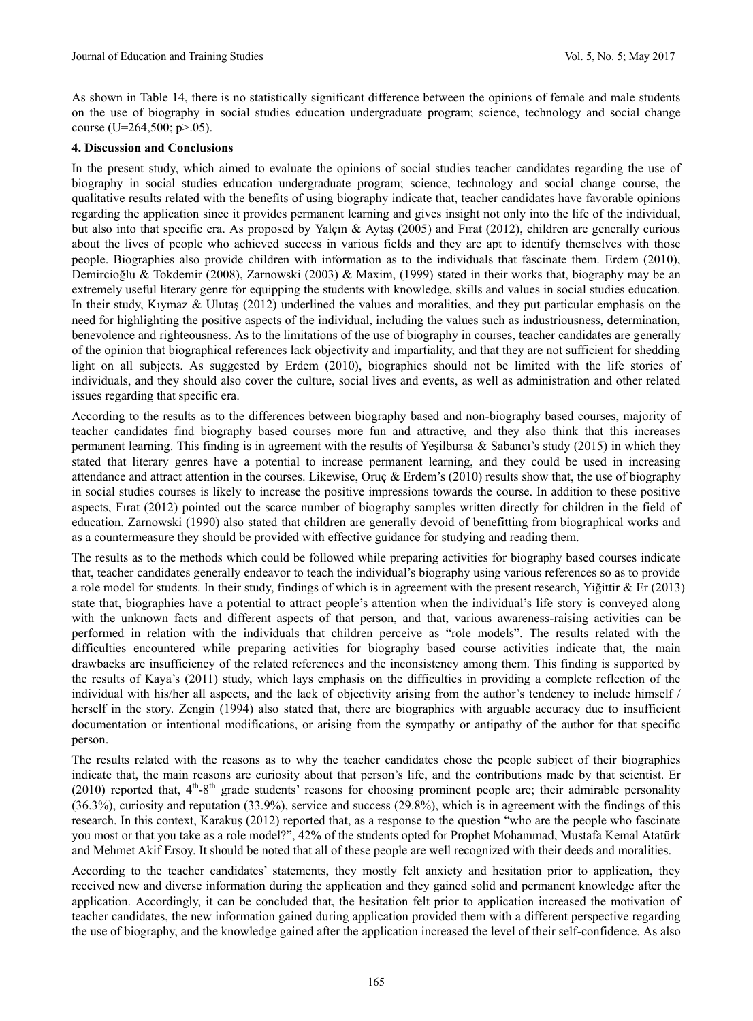As shown in Table 14, there is no statistically significant difference between the opinions of female and male students on the use of biography in social studies education undergraduate program; science, technology and social change course (U=264,500;  $p > 0.05$ ).

#### **4. Discussion and Conclusions**

In the present study, which aimed to evaluate the opinions of social studies teacher candidates regarding the use of biography in social studies education undergraduate program; science, technology and social change course, the qualitative results related with the benefits of using biography indicate that, teacher candidates have favorable opinions regarding the application since it provides permanent learning and gives insight not only into the life of the individual, but also into that specific era. As proposed by Yalçın & Aytaş (2005) and Fırat (2012), children are generally curious about the lives of people who achieved success in various fields and they are apt to identify themselves with those people. Biographies also provide children with information as to the individuals that fascinate them. Erdem (2010), Demircioğlu & Tokdemir (2008), Zarnowski (2003) & Maxim, (1999) stated in their works that, biography may be an extremely useful literary genre for equipping the students with knowledge, skills and values in social studies education. In their study, Kıymaz & Ulutaş (2012) underlined the values and moralities, and they put particular emphasis on the need for highlighting the positive aspects of the individual, including the values such as industriousness, determination, benevolence and righteousness. As to the limitations of the use of biography in courses, teacher candidates are generally of the opinion that biographical references lack objectivity and impartiality, and that they are not sufficient for shedding light on all subjects. As suggested by Erdem (2010), biographies should not be limited with the life stories of individuals, and they should also cover the culture, social lives and events, as well as administration and other related issues regarding that specific era.

According to the results as to the differences between biography based and non-biography based courses, majority of teacher candidates find biography based courses more fun and attractive, and they also think that this increases permanent learning. This finding is in agreement with the results of Yeşilbursa & Sabancı's study (2015) in which they stated that literary genres have a potential to increase permanent learning, and they could be used in increasing attendance and attract attention in the courses. Likewise, Oruç & Erdem's (2010) results show that, the use of biography in social studies courses is likely to increase the positive impressions towards the course. In addition to these positive aspects, Fırat (2012) pointed out the scarce number of biography samples written directly for children in the field of education. Zarnowski (1990) also stated that children are generally devoid of benefitting from biographical works and as a countermeasure they should be provided with effective guidance for studying and reading them.

The results as to the methods which could be followed while preparing activities for biography based courses indicate that, teacher candidates generally endeavor to teach the individual's biography using various references so as to provide a role model for students. In their study, findings of which is in agreement with the present research, Yiğittir & Er (2013) state that, biographies have a potential to attract people's attention when the individual's life story is conveyed along with the unknown facts and different aspects of that person, and that, various awareness-raising activities can be performed in relation with the individuals that children perceive as "role models". The results related with the difficulties encountered while preparing activities for biography based course activities indicate that, the main drawbacks are insufficiency of the related references and the inconsistency among them. This finding is supported by the results of Kaya's (2011) study, which lays emphasis on the difficulties in providing a complete reflection of the individual with his/her all aspects, and the lack of objectivity arising from the author's tendency to include himself / herself in the story. Zengin (1994) also stated that, there are biographies with arguable accuracy due to insufficient documentation or intentional modifications, or arising from the sympathy or antipathy of the author for that specific person.

The results related with the reasons as to why the teacher candidates chose the people subject of their biographies indicate that, the main reasons are curiosity about that person's life, and the contributions made by that scientist. Er (2010) reported that,  $4<sup>th</sup>-8<sup>th</sup>$  grade students' reasons for choosing prominent people are; their admirable personality (36.3%), curiosity and reputation (33.9%), service and success (29.8%), which is in agreement with the findings of this research. In this context, Karakuş (2012) reported that, as a response to the question "who are the people who fascinate you most or that you take as a role model?", 42% of the students opted for Prophet Mohammad, Mustafa Kemal Atatürk and Mehmet Akif Ersoy. It should be noted that all of these people are well recognized with their deeds and moralities.

According to the teacher candidates' statements, they mostly felt anxiety and hesitation prior to application, they received new and diverse information during the application and they gained solid and permanent knowledge after the application. Accordingly, it can be concluded that, the hesitation felt prior to application increased the motivation of teacher candidates, the new information gained during application provided them with a different perspective regarding the use of biography, and the knowledge gained after the application increased the level of their self-confidence. As also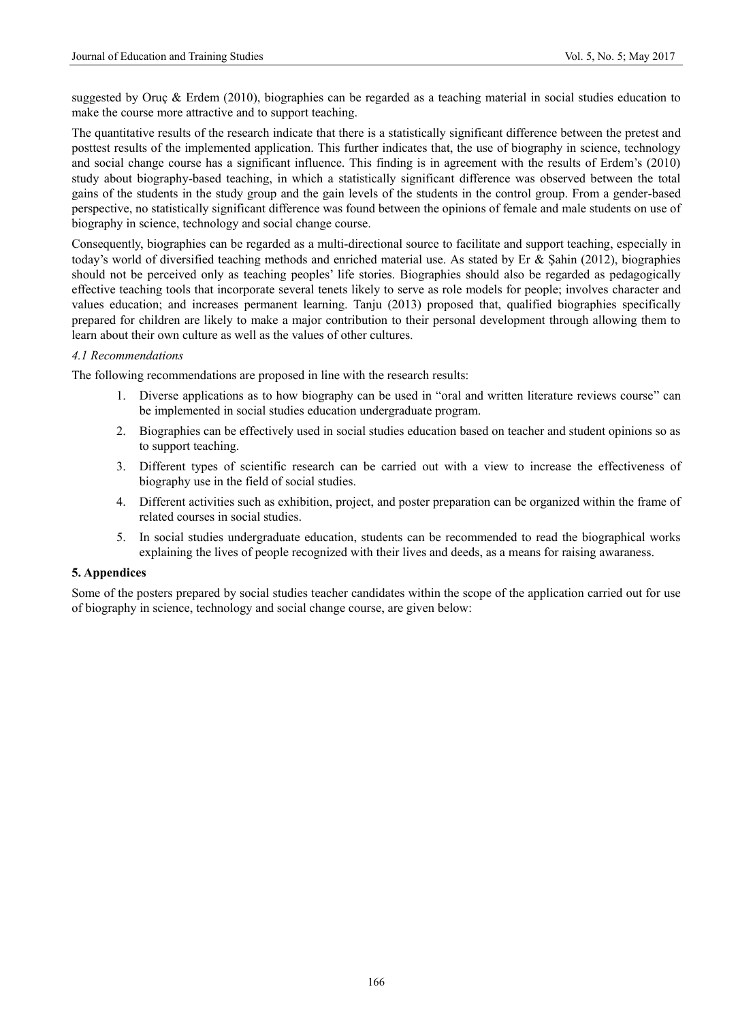suggested by Oruç & Erdem (2010), biographies can be regarded as a teaching material in social studies education to make the course more attractive and to support teaching.

The quantitative results of the research indicate that there is a statistically significant difference between the pretest and posttest results of the implemented application. This further indicates that, the use of biography in science, technology and social change course has a significant influence. This finding is in agreement with the results of Erdem's (2010) study about biography-based teaching, in which a statistically significant difference was observed between the total gains of the students in the study group and the gain levels of the students in the control group. From a gender-based perspective, no statistically significant difference was found between the opinions of female and male students on use of biography in science, technology and social change course.

Consequently, biographies can be regarded as a multi-directional source to facilitate and support teaching, especially in today's world of diversified teaching methods and enriched material use. As stated by Er & Şahin (2012), biographies should not be perceived only as teaching peoples' life stories. Biographies should also be regarded as pedagogically effective teaching tools that incorporate several tenets likely to serve as role models for people; involves character and values education; and increases permanent learning. Tanju (2013) proposed that, qualified biographies specifically prepared for children are likely to make a major contribution to their personal development through allowing them to learn about their own culture as well as the values of other cultures.

## *4.1 Recommendations*

The following recommendations are proposed in line with the research results:

- 1. Diverse applications as to how biography can be used in "oral and written literature reviews course" can be implemented in social studies education undergraduate program.
- 2. Biographies can be effectively used in social studies education based on teacher and student opinions so as to support teaching.
- 3. Different types of scientific research can be carried out with a view to increase the effectiveness of biography use in the field of social studies.
- 4. Different activities such as exhibition, project, and poster preparation can be organized within the frame of related courses in social studies.
- 5. In social studies undergraduate education, students can be recommended to read the biographical works explaining the lives of people recognized with their lives and deeds, as a means for raising awaraness.

#### **5. Appendices**

Some of the posters prepared by social studies teacher candidates within the scope of the application carried out for use of biography in science, technology and social change course, are given below: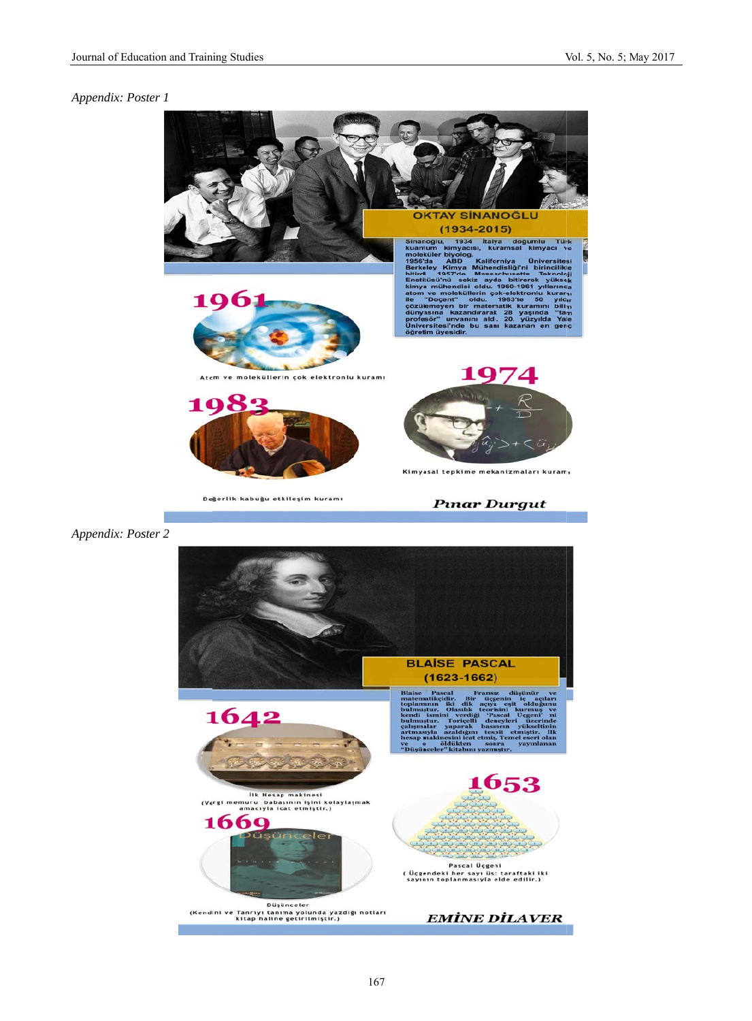#### *Appendix: Pos ster 1*

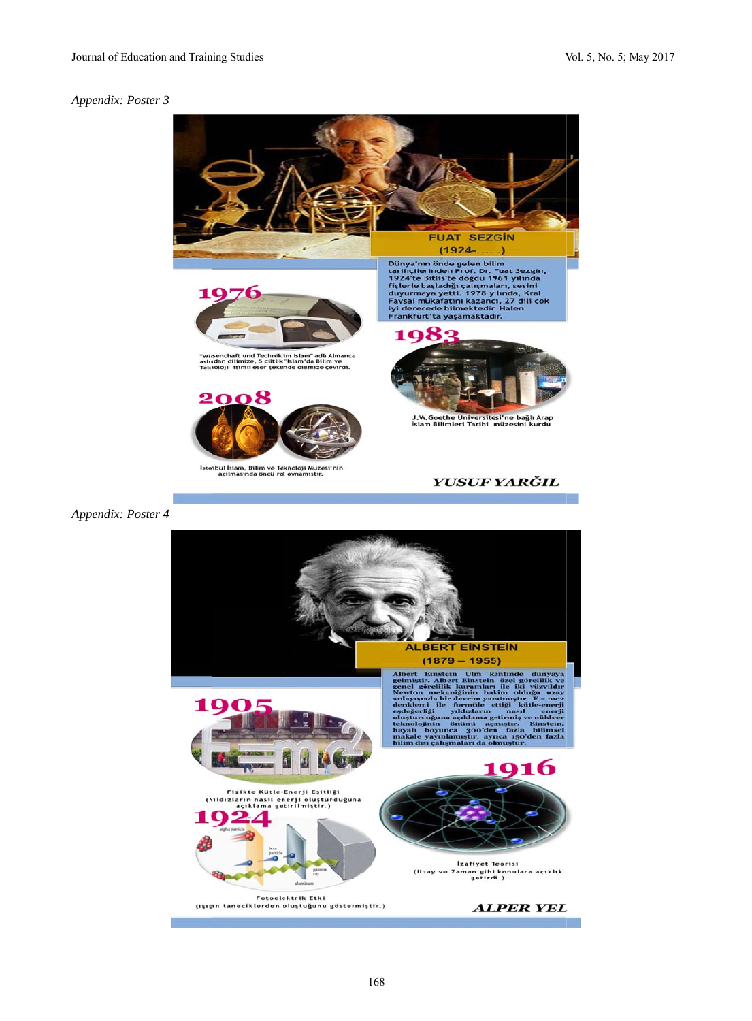#### *Appendix: Pos ster 3*

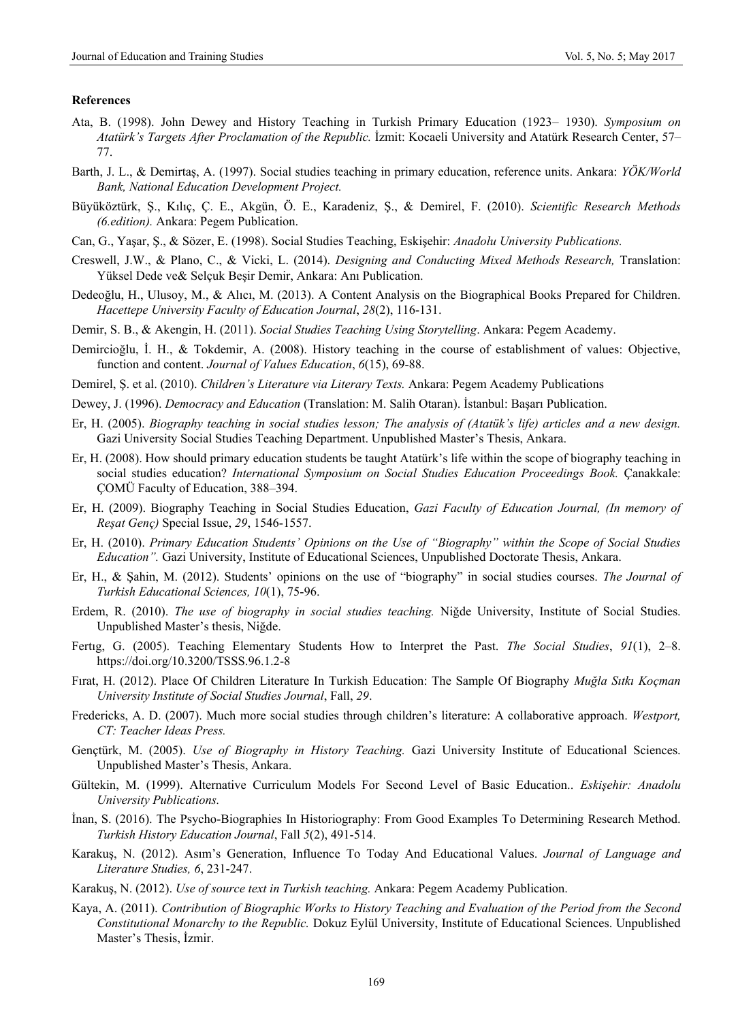#### **References**

- Ata, B. (1998). John Dewey and History Teaching in Turkish Primary Education (1923– 1930). *Symposium on Atatürk's Targets After Proclamation of the Republic.* İzmit: Kocaeli University and Atatürk Research Center, 57– 77.
- Barth, J. L., & Demirtaş, A. (1997). Social studies teaching in primary education, reference units. Ankara: *YÖK/World Bank, National Education Development Project.*
- Büyüköztürk, Ş., Kılıç, Ç. E., Akgün, Ö. E., Karadeniz, Ş., & Demirel, F. (2010). *Scientific Research Methods (6.edition).* Ankara: Pegem Publication.
- Can, G., Yaşar, Ş., & Sözer, E. (1998). Social Studies Teaching, Eskişehir: *Anadolu University Publications.*
- Creswell, J.W., & Plano, C., & Vicki, L. (2014). *Designing and Conducting Mixed Methods Research,* Translation: Yüksel Dede ve& Selçuk Beşir Demir, Ankara: Anı Publication.
- Dedeoğlu, H., Ulusoy, M., & Alıcı, M. (2013). A Content Analysis on the Biographical Books Prepared for Children. *Hacettepe University Faculty of Education Journal*, *28*(2), 116-131.
- Demir, S. B., & Akengin, H. (2011). *Social Studies Teaching Using Storytelling*. Ankara: Pegem Academy.
- Demircioğlu, İ. H., & Tokdemir, A. (2008). History teaching in the course of establishment of values: Objective, function and content. *Journal of Values Education*, *6*(15), 69-88.
- Demirel, Ş. et al. (2010). *Children's Literature via Literary Texts.* Ankara: Pegem Academy Publications
- Dewey, J. (1996). *Democracy and Education* (Translation: M. Salih Otaran). İstanbul: Başarı Publication.
- Er, H. (2005). *Biography teaching in social studies lesson; The analysis of (Atatük's life) articles and a new design.*  Gazi University Social Studies Teaching Department. Unpublished Master's Thesis, Ankara.
- Er, H. (2008). How should primary education students be taught Atatürk's life within the scope of biography teaching in social studies education? *International Symposium on Social Studies Education Proceedings Book.* Çanakkale: ÇOMÜ Faculty of Education, 388–394.
- Er, H. (2009). Biography Teaching in Social Studies Education, *Gazi Faculty of Education Journal, (In memory of Reşat Genç)* Special Issue, *29*, 1546-1557.
- Er, H. (2010). *Primary Education Students' Opinions on the Use of "Biography" within the Scope of Social Studies Education".* Gazi University, Institute of Educational Sciences, Unpublished Doctorate Thesis, Ankara.
- Er, H., & Şahin, M. (2012). Students' opinions on the use of "biography" in social studies courses. *The Journal of Turkish Educational Sciences, 10*(1), 75-96.
- Erdem, R. (2010). *The use of biography in social studies teaching.* Niğde University, Institute of Social Studies. Unpublished Master's thesis, Niğde.
- Fertıg, G. (2005). Teaching Elementary Students How to Interpret the Past. *The Social Studies*, *91*(1), 2–8. <https://doi.org/10.3200/TSSS.96.1.2-8>
- Fırat, H. (2012). Place Of Children Literature In Turkish Education: The Sample Of Biography *Muğla Sıtkı Koçman University Institute of Social Studies Journal*, Fall, *29*.
- Fredericks, A. D. (2007). Much more social studies through children's literature: A collaborative approach. *Westport, CT: Teacher Ideas Press.*
- Gençtürk, M. (2005). *Use of Biography in History Teaching*. Gazi University Institute of Educational Sciences. Unpublished Master's Thesis, Ankara.
- Gültekin, M. (1999). Alternative Curriculum Models For Second Level of Basic Education.. *Eskişehir: Anadolu University Publications.*
- İnan, S. (2016). The Psycho-Biographies In Historiography: From Good Examples To Determining Research Method. *Turkish History Education Journal*, Fall *5*(2), 491-514.
- Karakuş, N. (2012). Asım's Generation, Influence To Today And Educational Values. *Journal of Language and Literature Studies, 6*, 231-247.
- Karakuş, N. (2012). *Use of source text in Turkish teaching.* Ankara: Pegem Academy Publication.
- Kaya, A. (2011). *Contribution of Biographic Works to History Teaching and Evaluation of the Period from the Second Constitutional Monarchy to the Republic.* Dokuz Eylül University, Institute of Educational Sciences. Unpublished Master's Thesis, İzmir.